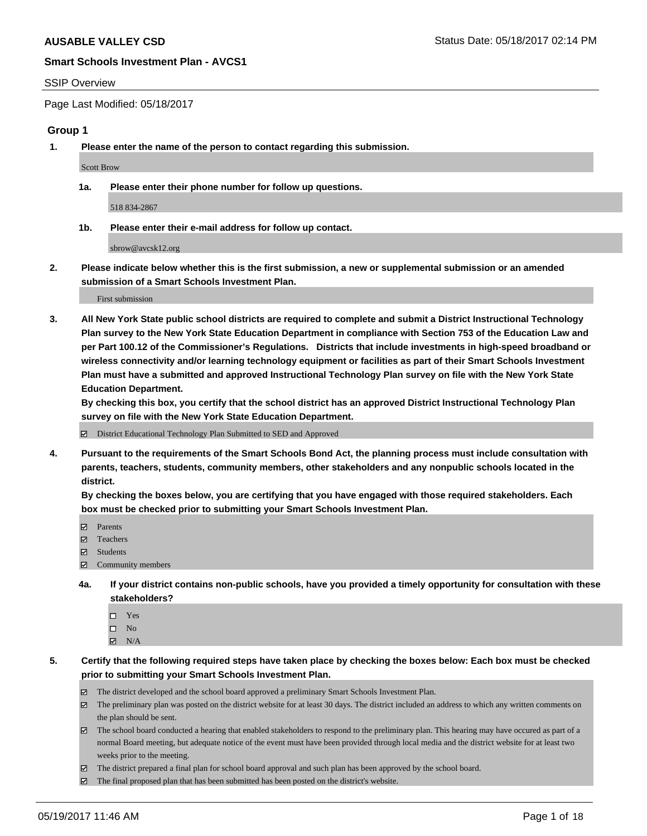#### SSIP Overview

Page Last Modified: 05/18/2017

#### **Group 1**

**1. Please enter the name of the person to contact regarding this submission.**

Scott Brow

**1a. Please enter their phone number for follow up questions.**

518 834-2867

**1b. Please enter their e-mail address for follow up contact.**

sbrow@avcsk12.org

**2. Please indicate below whether this is the first submission, a new or supplemental submission or an amended submission of a Smart Schools Investment Plan.**

First submission

**3. All New York State public school districts are required to complete and submit a District Instructional Technology Plan survey to the New York State Education Department in compliance with Section 753 of the Education Law and per Part 100.12 of the Commissioner's Regulations. Districts that include investments in high-speed broadband or wireless connectivity and/or learning technology equipment or facilities as part of their Smart Schools Investment Plan must have a submitted and approved Instructional Technology Plan survey on file with the New York State Education Department.** 

**By checking this box, you certify that the school district has an approved District Instructional Technology Plan survey on file with the New York State Education Department.**

District Educational Technology Plan Submitted to SED and Approved

**4. Pursuant to the requirements of the Smart Schools Bond Act, the planning process must include consultation with parents, teachers, students, community members, other stakeholders and any nonpublic schools located in the district.** 

**By checking the boxes below, you are certifying that you have engaged with those required stakeholders. Each box must be checked prior to submitting your Smart Schools Investment Plan.**

- **マ** Parents
- □ Teachers
- Students
- $\Xi$  Community members
- **4a. If your district contains non-public schools, have you provided a timely opportunity for consultation with these stakeholders?**
	- Yes
	- $\hfill \square$  No
	- $\boxtimes$  N/A
- **5. Certify that the following required steps have taken place by checking the boxes below: Each box must be checked prior to submitting your Smart Schools Investment Plan.**
	- The district developed and the school board approved a preliminary Smart Schools Investment Plan.
	- $\boxtimes$  The preliminary plan was posted on the district website for at least 30 days. The district included an address to which any written comments on the plan should be sent.
	- $\boxtimes$  The school board conducted a hearing that enabled stakeholders to respond to the preliminary plan. This hearing may have occured as part of a normal Board meeting, but adequate notice of the event must have been provided through local media and the district website for at least two weeks prior to the meeting.
	- The district prepared a final plan for school board approval and such plan has been approved by the school board.
	- $\boxtimes$  The final proposed plan that has been submitted has been posted on the district's website.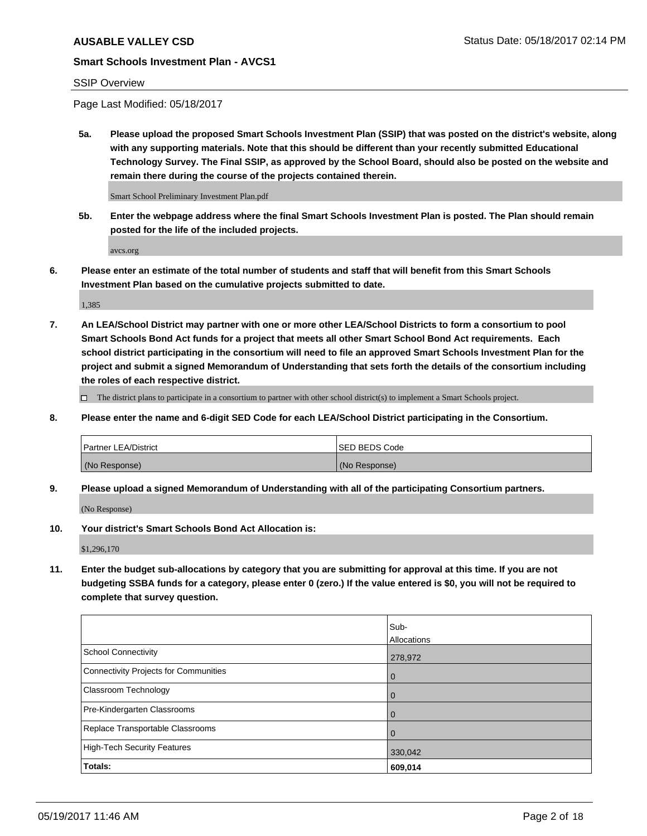## SSIP Overview

Page Last Modified: 05/18/2017

**5a. Please upload the proposed Smart Schools Investment Plan (SSIP) that was posted on the district's website, along with any supporting materials. Note that this should be different than your recently submitted Educational Technology Survey. The Final SSIP, as approved by the School Board, should also be posted on the website and remain there during the course of the projects contained therein.**

Smart School Preliminary Investment Plan.pdf

**5b. Enter the webpage address where the final Smart Schools Investment Plan is posted. The Plan should remain posted for the life of the included projects.**

avcs.org

**6. Please enter an estimate of the total number of students and staff that will benefit from this Smart Schools Investment Plan based on the cumulative projects submitted to date.**

1,385

**7. An LEA/School District may partner with one or more other LEA/School Districts to form a consortium to pool Smart Schools Bond Act funds for a project that meets all other Smart School Bond Act requirements. Each school district participating in the consortium will need to file an approved Smart Schools Investment Plan for the project and submit a signed Memorandum of Understanding that sets forth the details of the consortium including the roles of each respective district.**

 $\Box$  The district plans to participate in a consortium to partner with other school district(s) to implement a Smart Schools project.

**8. Please enter the name and 6-digit SED Code for each LEA/School District participating in the Consortium.**

| <b>Partner LEA/District</b> | <b>ISED BEDS Code</b> |
|-----------------------------|-----------------------|
| (No Response)               | (No Response)         |

**9. Please upload a signed Memorandum of Understanding with all of the participating Consortium partners.**

(No Response)

**10. Your district's Smart Schools Bond Act Allocation is:**

\$1,296,170

**11. Enter the budget sub-allocations by category that you are submitting for approval at this time. If you are not budgeting SSBA funds for a category, please enter 0 (zero.) If the value entered is \$0, you will not be required to complete that survey question.**

|                                       | Sub-        |
|---------------------------------------|-------------|
|                                       | Allocations |
| <b>School Connectivity</b>            | 278,972     |
| Connectivity Projects for Communities | 0           |
| <b>Classroom Technology</b>           | 0           |
| Pre-Kindergarten Classrooms           | 0           |
| Replace Transportable Classrooms      | 0           |
| <b>High-Tech Security Features</b>    | 330,042     |
| Totals:                               | 609,014     |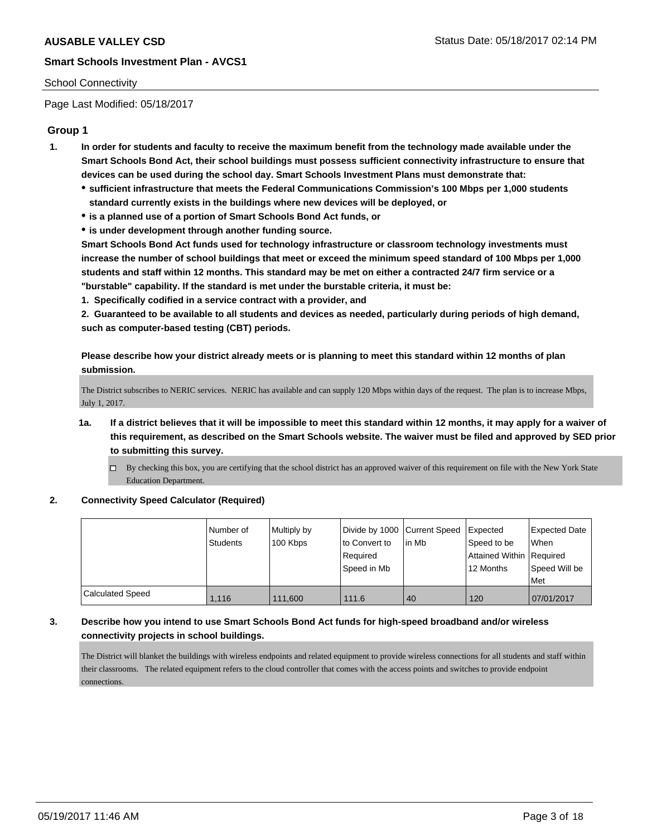#### School Connectivity

Page Last Modified: 05/18/2017

## **Group 1**

- **1. In order for students and faculty to receive the maximum benefit from the technology made available under the Smart Schools Bond Act, their school buildings must possess sufficient connectivity infrastructure to ensure that devices can be used during the school day. Smart Schools Investment Plans must demonstrate that:**
	- **sufficient infrastructure that meets the Federal Communications Commission's 100 Mbps per 1,000 students standard currently exists in the buildings where new devices will be deployed, or**
	- **is a planned use of a portion of Smart Schools Bond Act funds, or**
	- **is under development through another funding source.**

**Smart Schools Bond Act funds used for technology infrastructure or classroom technology investments must increase the number of school buildings that meet or exceed the minimum speed standard of 100 Mbps per 1,000 students and staff within 12 months. This standard may be met on either a contracted 24/7 firm service or a "burstable" capability. If the standard is met under the burstable criteria, it must be:**

**1. Specifically codified in a service contract with a provider, and**

**2. Guaranteed to be available to all students and devices as needed, particularly during periods of high demand, such as computer-based testing (CBT) periods.**

**Please describe how your district already meets or is planning to meet this standard within 12 months of plan submission.**

The District subscribes to NERIC services. NERIC has available and can supply 120 Mbps within days of the request. The plan is to increase Mbps, July 1, 2017.

- **1a. If a district believes that it will be impossible to meet this standard within 12 months, it may apply for a waiver of this requirement, as described on the Smart Schools website. The waiver must be filed and approved by SED prior to submitting this survey.**
	- By checking this box, you are certifying that the school district has an approved waiver of this requirement on file with the New York State Education Department.

#### **2. Connectivity Speed Calculator (Required)**

|                  | I Number of<br>Students | Multiply by<br>100 Kbps | Divide by 1000 Current Speed<br>to Convert to<br>Required<br>Speed in Mb | lin Mb | <b>I</b> Expected<br>Speed to be<br>Attained Within Required<br>12 Months | <b>Expected Date</b><br><b>When</b><br>Speed Will be |
|------------------|-------------------------|-------------------------|--------------------------------------------------------------------------|--------|---------------------------------------------------------------------------|------------------------------------------------------|
|                  |                         |                         |                                                                          |        |                                                                           | Met                                                  |
| Calculated Speed | 1.116                   | 111,600                 | 111.6                                                                    | 40     | 120                                                                       | 07/01/2017                                           |

## **3. Describe how you intend to use Smart Schools Bond Act funds for high-speed broadband and/or wireless connectivity projects in school buildings.**

The District will blanket the buildings with wireless endpoints and related equipment to provide wireless connections for all students and staff within their classrooms. The related equipment refers to the cloud controller that comes with the access points and switches to provide endpoint connections.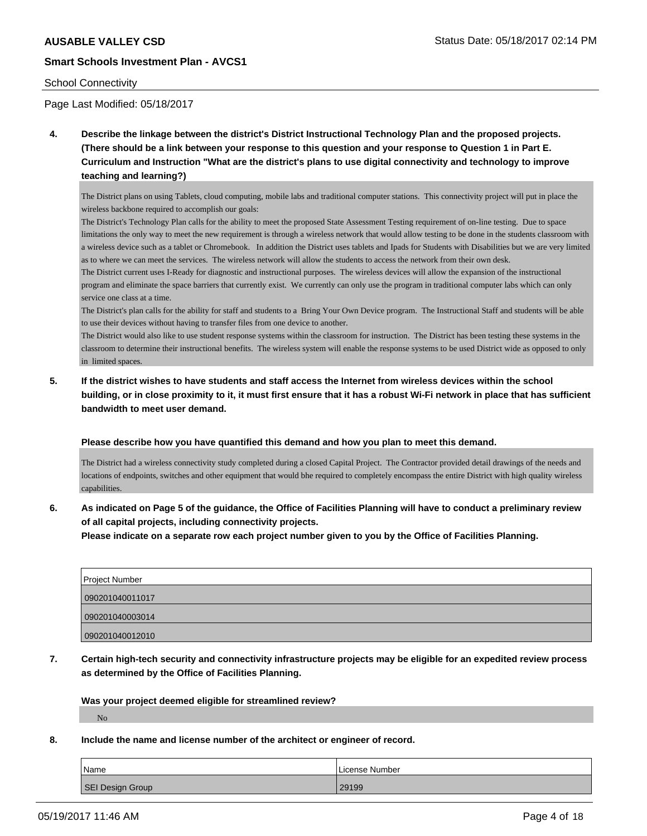#### School Connectivity

Page Last Modified: 05/18/2017

**4. Describe the linkage between the district's District Instructional Technology Plan and the proposed projects. (There should be a link between your response to this question and your response to Question 1 in Part E. Curriculum and Instruction "What are the district's plans to use digital connectivity and technology to improve teaching and learning?)**

The District plans on using Tablets, cloud computing, mobile labs and traditional computer stations. This connectivity project will put in place the wireless backbone required to accomplish our goals:

The District's Technology Plan calls for the ability to meet the proposed State Assessment Testing requirement of on-line testing. Due to space limitations the only way to meet the new requirement is through a wireless network that would allow testing to be done in the students classroom with a wireless device such as a tablet or Chromebook. In addition the District uses tablets and Ipads for Students with Disabilities but we are very limited as to where we can meet the services. The wireless network will allow the students to access the network from their own desk.

The District current uses I-Ready for diagnostic and instructional purposes. The wireless devices will allow the expansion of the instructional program and eliminate the space barriers that currently exist. We currently can only use the program in traditional computer labs which can only service one class at a time.

The District's plan calls for the ability for staff and students to a Bring Your Own Device program. The Instructional Staff and students will be able to use their devices without having to transfer files from one device to another.

The District would also like to use student response systems within the classroom for instruction. The District has been testing these systems in the classroom to determine their instructional benefits. The wireless system will enable the response systems to be used District wide as opposed to only in limited spaces.

**5. If the district wishes to have students and staff access the Internet from wireless devices within the school building, or in close proximity to it, it must first ensure that it has a robust Wi-Fi network in place that has sufficient bandwidth to meet user demand.**

#### **Please describe how you have quantified this demand and how you plan to meet this demand.**

The District had a wireless connectivity study completed during a closed Capital Project. The Contractor provided detail drawings of the needs and locations of endpoints, switches and other equipment that would bhe required to completely encompass the entire District with high quality wireless capabilities.

**6. As indicated on Page 5 of the guidance, the Office of Facilities Planning will have to conduct a preliminary review of all capital projects, including connectivity projects.**

**Please indicate on a separate row each project number given to you by the Office of Facilities Planning.**

| Project Number  |  |
|-----------------|--|
| 090201040011017 |  |
| 090201040003014 |  |
| 090201040012010 |  |

**7. Certain high-tech security and connectivity infrastructure projects may be eligible for an expedited review process as determined by the Office of Facilities Planning.**

**Was your project deemed eligible for streamlined review?**

No

**8. Include the name and license number of the architect or engineer of record.**

| Name             | License Number |
|------------------|----------------|
| SEI Design Group | 29199          |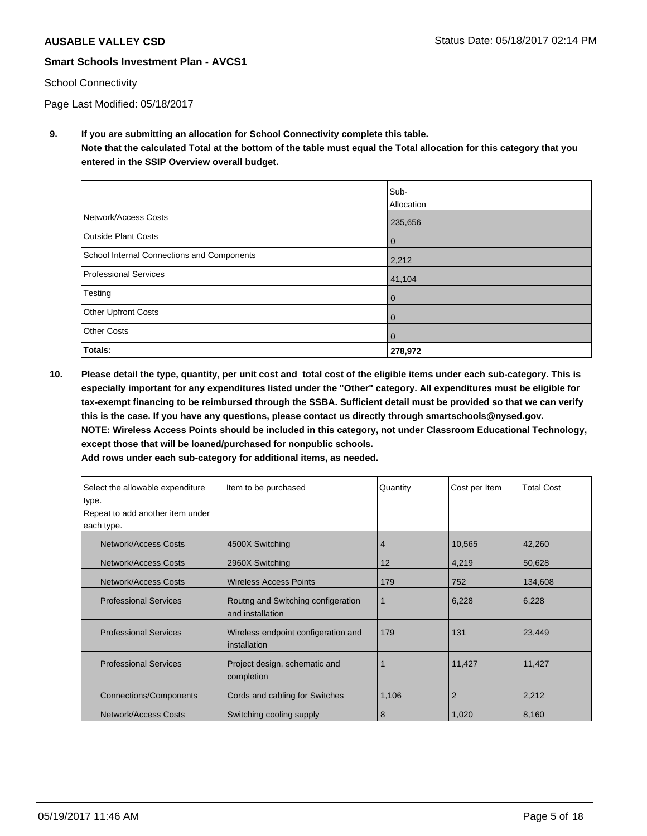### School Connectivity

Page Last Modified: 05/18/2017

**9. If you are submitting an allocation for School Connectivity complete this table. Note that the calculated Total at the bottom of the table must equal the Total allocation for this category that you entered in the SSIP Overview overall budget.** 

|                                            | Sub-<br>Allocation |
|--------------------------------------------|--------------------|
| Network/Access Costs                       | 235,656            |
| <b>Outside Plant Costs</b>                 | $\bf{0}$           |
| School Internal Connections and Components | 2,212              |
| Professional Services                      | 41,104             |
| Testing                                    | 0                  |
| Other Upfront Costs                        | 0                  |
| <b>Other Costs</b>                         | 0                  |
| Totals:                                    | 278,972            |

**10. Please detail the type, quantity, per unit cost and total cost of the eligible items under each sub-category. This is especially important for any expenditures listed under the "Other" category. All expenditures must be eligible for tax-exempt financing to be reimbursed through the SSBA. Sufficient detail must be provided so that we can verify this is the case. If you have any questions, please contact us directly through smartschools@nysed.gov. NOTE: Wireless Access Points should be included in this category, not under Classroom Educational Technology, except those that will be loaned/purchased for nonpublic schools.**

| Select the allowable expenditure | Item to be purchased                                   | Quantity | Cost per Item | <b>Total Cost</b> |
|----------------------------------|--------------------------------------------------------|----------|---------------|-------------------|
| type.                            |                                                        |          |               |                   |
| Repeat to add another item under |                                                        |          |               |                   |
| each type.                       |                                                        |          |               |                   |
| Network/Access Costs             | 4500X Switching                                        | 4        | 10,565        | 42,260            |
| Network/Access Costs             | 2960X Switching                                        | 12       | 4,219         | 50,628            |
| Network/Access Costs             | <b>Wireless Access Points</b>                          | 179      | 752           | 134,608           |
| <b>Professional Services</b>     | Routng and Switching configeration<br>and installation | 1        | 6,228         | 6,228             |
| <b>Professional Services</b>     | Wireless endpoint configeration and<br>installation    | 179      | 131           | 23,449            |
| <b>Professional Services</b>     | Project design, schematic and<br>completion            |          | 11,427        | 11,427            |
| <b>Connections/Components</b>    | Cords and cabling for Switches                         | 1,106    | 2             | 2,212             |
| Network/Access Costs             | Switching cooling supply                               | 8        | 1,020         | 8,160             |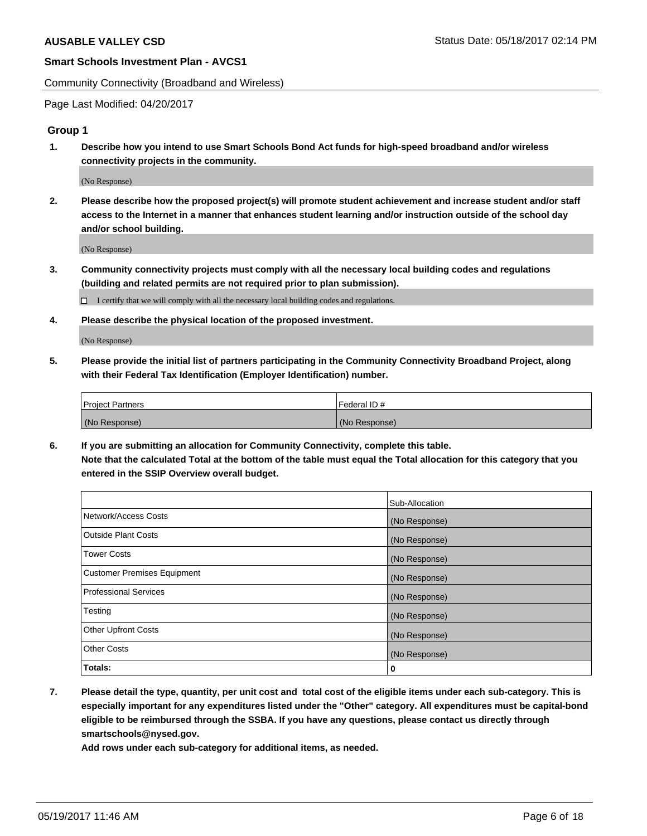Community Connectivity (Broadband and Wireless)

Page Last Modified: 04/20/2017

## **Group 1**

**1. Describe how you intend to use Smart Schools Bond Act funds for high-speed broadband and/or wireless connectivity projects in the community.**

(No Response)

**2. Please describe how the proposed project(s) will promote student achievement and increase student and/or staff access to the Internet in a manner that enhances student learning and/or instruction outside of the school day and/or school building.**

(No Response)

**3. Community connectivity projects must comply with all the necessary local building codes and regulations (building and related permits are not required prior to plan submission).**

 $\Box$  I certify that we will comply with all the necessary local building codes and regulations.

**4. Please describe the physical location of the proposed investment.**

(No Response)

**5. Please provide the initial list of partners participating in the Community Connectivity Broadband Project, along with their Federal Tax Identification (Employer Identification) number.**

| <b>Project Partners</b> | Federal ID#     |
|-------------------------|-----------------|
| (No Response)           | l (No Response) |

**6. If you are submitting an allocation for Community Connectivity, complete this table. Note that the calculated Total at the bottom of the table must equal the Total allocation for this category that you entered in the SSIP Overview overall budget.**

|                                    | Sub-Allocation |
|------------------------------------|----------------|
| Network/Access Costs               | (No Response)  |
| Outside Plant Costs                | (No Response)  |
| <b>Tower Costs</b>                 | (No Response)  |
| <b>Customer Premises Equipment</b> | (No Response)  |
| <b>Professional Services</b>       | (No Response)  |
| Testing                            | (No Response)  |
| <b>Other Upfront Costs</b>         | (No Response)  |
| <b>Other Costs</b>                 | (No Response)  |
| Totals:                            | 0              |

**7. Please detail the type, quantity, per unit cost and total cost of the eligible items under each sub-category. This is especially important for any expenditures listed under the "Other" category. All expenditures must be capital-bond eligible to be reimbursed through the SSBA. If you have any questions, please contact us directly through smartschools@nysed.gov.**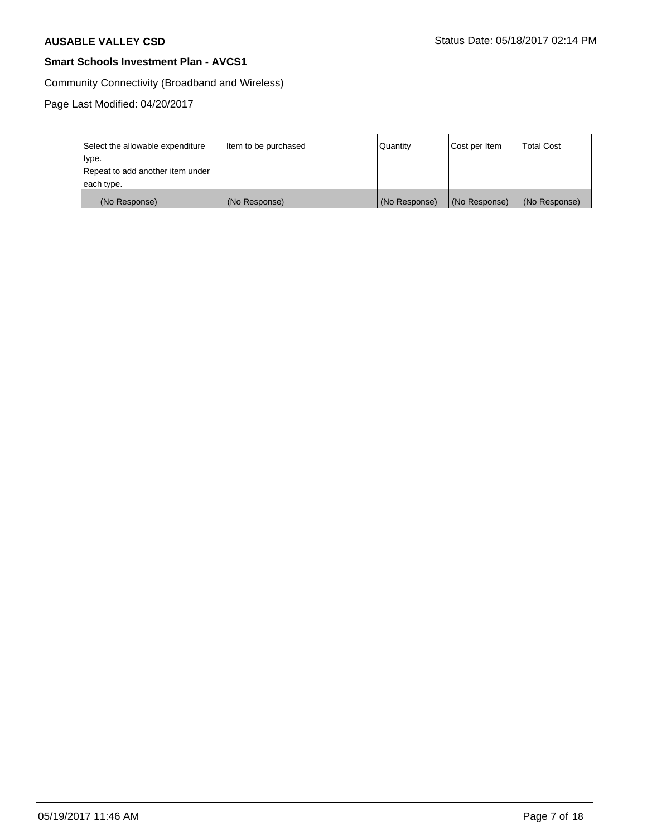Community Connectivity (Broadband and Wireless)

Page Last Modified: 04/20/2017

| Select the allowable expenditure | Item to be purchased | Quantity      | Cost per Item | <b>Total Cost</b> |
|----------------------------------|----------------------|---------------|---------------|-------------------|
| type.                            |                      |               |               |                   |
| Repeat to add another item under |                      |               |               |                   |
| each type.                       |                      |               |               |                   |
| (No Response)                    | (No Response)        | (No Response) | (No Response) | (No Response)     |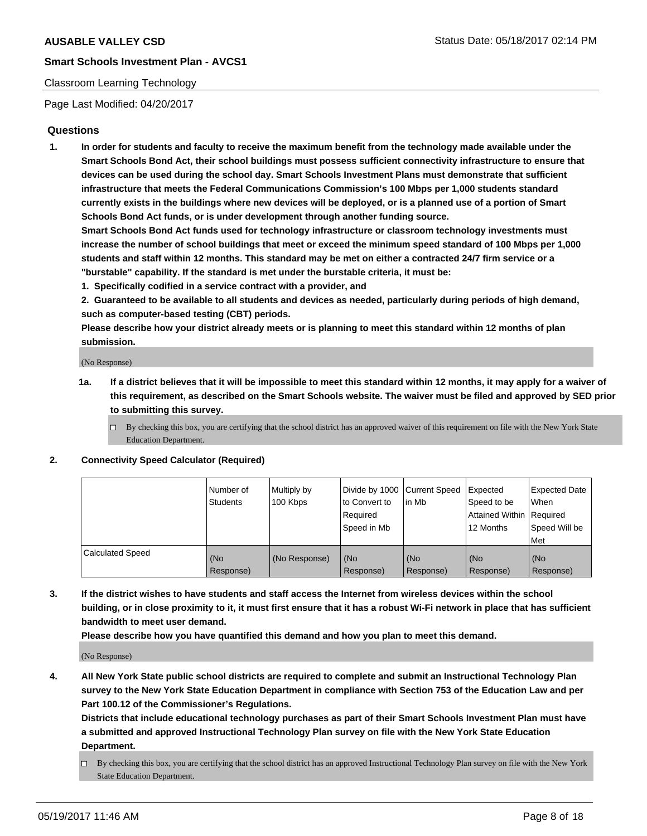## Classroom Learning Technology

Page Last Modified: 04/20/2017

## **Questions**

**1. In order for students and faculty to receive the maximum benefit from the technology made available under the Smart Schools Bond Act, their school buildings must possess sufficient connectivity infrastructure to ensure that devices can be used during the school day. Smart Schools Investment Plans must demonstrate that sufficient infrastructure that meets the Federal Communications Commission's 100 Mbps per 1,000 students standard currently exists in the buildings where new devices will be deployed, or is a planned use of a portion of Smart Schools Bond Act funds, or is under development through another funding source.**

**Smart Schools Bond Act funds used for technology infrastructure or classroom technology investments must increase the number of school buildings that meet or exceed the minimum speed standard of 100 Mbps per 1,000 students and staff within 12 months. This standard may be met on either a contracted 24/7 firm service or a "burstable" capability. If the standard is met under the burstable criteria, it must be:**

- **1. Specifically codified in a service contract with a provider, and**
- **2. Guaranteed to be available to all students and devices as needed, particularly during periods of high demand, such as computer-based testing (CBT) periods.**

**Please describe how your district already meets or is planning to meet this standard within 12 months of plan submission.**

(No Response)

- **1a. If a district believes that it will be impossible to meet this standard within 12 months, it may apply for a waiver of this requirement, as described on the Smart Schools website. The waiver must be filed and approved by SED prior to submitting this survey.**
	- $\Box$  By checking this box, you are certifying that the school district has an approved waiver of this requirement on file with the New York State Education Department.

#### **2. Connectivity Speed Calculator (Required)**

|                         | l Number of<br>Students | Multiply by<br>100 Kbps | Divide by 1000   Current Speed<br>to Convert to<br>Required<br>Speed in Mb | l in Mb          | Expected<br>Speed to be<br>Attained Within Required<br>12 Months | <b>Expected Date</b><br>When<br>Speed Will be<br>Met |
|-------------------------|-------------------------|-------------------------|----------------------------------------------------------------------------|------------------|------------------------------------------------------------------|------------------------------------------------------|
| <b>Calculated Speed</b> | (No<br>Response)        | (No Response)           | (No<br>Response)                                                           | (No<br>Response) | (No<br>Response)                                                 | (No<br>Response)                                     |

**3. If the district wishes to have students and staff access the Internet from wireless devices within the school building, or in close proximity to it, it must first ensure that it has a robust Wi-Fi network in place that has sufficient bandwidth to meet user demand.**

**Please describe how you have quantified this demand and how you plan to meet this demand.**

(No Response)

**4. All New York State public school districts are required to complete and submit an Instructional Technology Plan survey to the New York State Education Department in compliance with Section 753 of the Education Law and per Part 100.12 of the Commissioner's Regulations.**

**Districts that include educational technology purchases as part of their Smart Schools Investment Plan must have a submitted and approved Instructional Technology Plan survey on file with the New York State Education Department.**

 $\Box$  By checking this box, you are certifying that the school district has an approved Instructional Technology Plan survey on file with the New York State Education Department.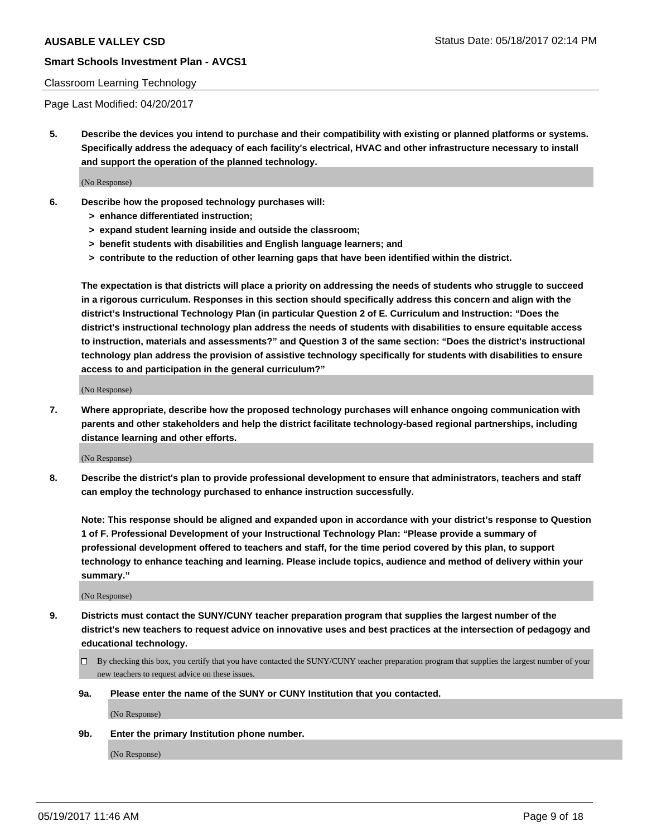#### Classroom Learning Technology

Page Last Modified: 04/20/2017

**5. Describe the devices you intend to purchase and their compatibility with existing or planned platforms or systems. Specifically address the adequacy of each facility's electrical, HVAC and other infrastructure necessary to install and support the operation of the planned technology.**

(No Response)

- **6. Describe how the proposed technology purchases will:**
	- **> enhance differentiated instruction;**
	- **> expand student learning inside and outside the classroom;**
	- **> benefit students with disabilities and English language learners; and**
	- **> contribute to the reduction of other learning gaps that have been identified within the district.**

**The expectation is that districts will place a priority on addressing the needs of students who struggle to succeed in a rigorous curriculum. Responses in this section should specifically address this concern and align with the district's Instructional Technology Plan (in particular Question 2 of E. Curriculum and Instruction: "Does the district's instructional technology plan address the needs of students with disabilities to ensure equitable access to instruction, materials and assessments?" and Question 3 of the same section: "Does the district's instructional technology plan address the provision of assistive technology specifically for students with disabilities to ensure access to and participation in the general curriculum?"**

(No Response)

**7. Where appropriate, describe how the proposed technology purchases will enhance ongoing communication with parents and other stakeholders and help the district facilitate technology-based regional partnerships, including distance learning and other efforts.**

(No Response)

**8. Describe the district's plan to provide professional development to ensure that administrators, teachers and staff can employ the technology purchased to enhance instruction successfully.**

**Note: This response should be aligned and expanded upon in accordance with your district's response to Question 1 of F. Professional Development of your Instructional Technology Plan: "Please provide a summary of professional development offered to teachers and staff, for the time period covered by this plan, to support technology to enhance teaching and learning. Please include topics, audience and method of delivery within your summary."**

(No Response)

- **9. Districts must contact the SUNY/CUNY teacher preparation program that supplies the largest number of the district's new teachers to request advice on innovative uses and best practices at the intersection of pedagogy and educational technology.**
	- By checking this box, you certify that you have contacted the SUNY/CUNY teacher preparation program that supplies the largest number of your new teachers to request advice on these issues.
	- **9a. Please enter the name of the SUNY or CUNY Institution that you contacted.**

(No Response)

**9b. Enter the primary Institution phone number.**

(No Response)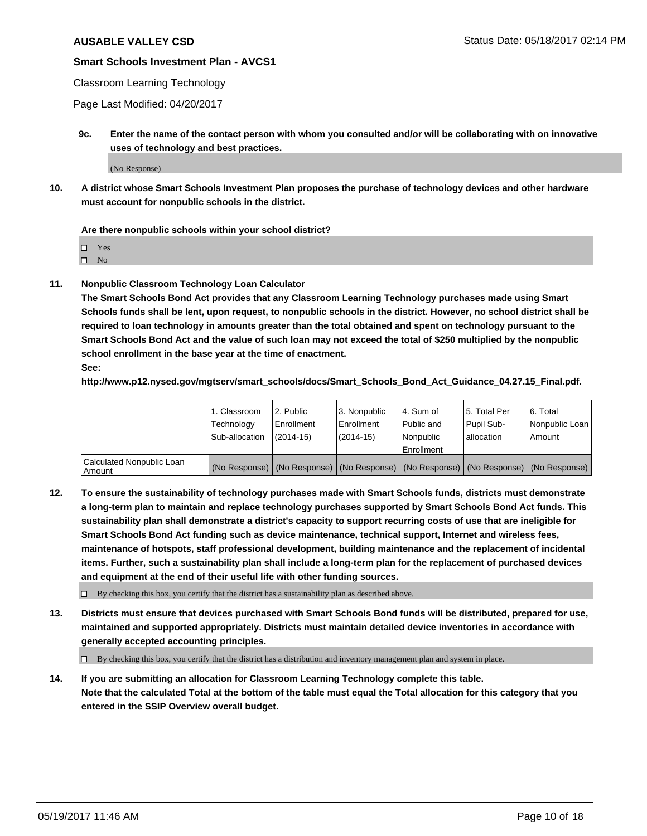## Classroom Learning Technology

Page Last Modified: 04/20/2017

**9c. Enter the name of the contact person with whom you consulted and/or will be collaborating with on innovative uses of technology and best practices.**

(No Response)

**10. A district whose Smart Schools Investment Plan proposes the purchase of technology devices and other hardware must account for nonpublic schools in the district.**

**Are there nonpublic schools within your school district?**

Yes

 $\square$  No

**11. Nonpublic Classroom Technology Loan Calculator**

**The Smart Schools Bond Act provides that any Classroom Learning Technology purchases made using Smart Schools funds shall be lent, upon request, to nonpublic schools in the district. However, no school district shall be required to loan technology in amounts greater than the total obtained and spent on technology pursuant to the Smart Schools Bond Act and the value of such loan may not exceed the total of \$250 multiplied by the nonpublic school enrollment in the base year at the time of enactment.**

**See:**

**http://www.p12.nysed.gov/mgtserv/smart\_schools/docs/Smart\_Schools\_Bond\_Act\_Guidance\_04.27.15\_Final.pdf.**

|                                       | 1. Classroom<br>Technology | l 2. Public<br>Enrollment | 3. Nonpublic<br>Enrollment | l 4. Sum of<br>Public and | 15. Total Per<br>Pupil Sub- | 6. Total<br>Nonpublic Loan                                                                    |
|---------------------------------------|----------------------------|---------------------------|----------------------------|---------------------------|-----------------------------|-----------------------------------------------------------------------------------------------|
|                                       | Sub-allocation             | $(2014-15)$               | $(2014-15)$                | l Nonpublic               | allocation                  | Amount                                                                                        |
|                                       |                            |                           |                            | Enrollment                |                             |                                                                                               |
| Calculated Nonpublic Loan<br>  Amount |                            |                           |                            |                           |                             | (No Response)   (No Response)   (No Response)   (No Response)   (No Response)   (No Response) |

**12. To ensure the sustainability of technology purchases made with Smart Schools funds, districts must demonstrate a long-term plan to maintain and replace technology purchases supported by Smart Schools Bond Act funds. This sustainability plan shall demonstrate a district's capacity to support recurring costs of use that are ineligible for Smart Schools Bond Act funding such as device maintenance, technical support, Internet and wireless fees, maintenance of hotspots, staff professional development, building maintenance and the replacement of incidental items. Further, such a sustainability plan shall include a long-term plan for the replacement of purchased devices and equipment at the end of their useful life with other funding sources.**

 $\Box$  By checking this box, you certify that the district has a sustainability plan as described above.

**13. Districts must ensure that devices purchased with Smart Schools Bond funds will be distributed, prepared for use, maintained and supported appropriately. Districts must maintain detailed device inventories in accordance with generally accepted accounting principles.**

By checking this box, you certify that the district has a distribution and inventory management plan and system in place.

**14. If you are submitting an allocation for Classroom Learning Technology complete this table. Note that the calculated Total at the bottom of the table must equal the Total allocation for this category that you entered in the SSIP Overview overall budget.**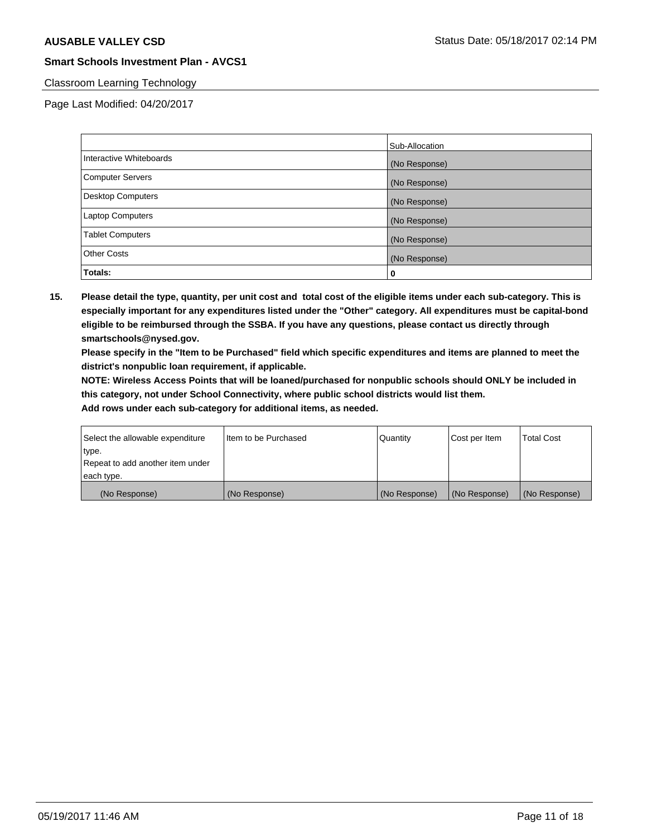## Classroom Learning Technology

Page Last Modified: 04/20/2017

|                          | Sub-Allocation |
|--------------------------|----------------|
| Interactive Whiteboards  | (No Response)  |
| Computer Servers         | (No Response)  |
| <b>Desktop Computers</b> | (No Response)  |
| <b>Laptop Computers</b>  | (No Response)  |
| <b>Tablet Computers</b>  | (No Response)  |
| <b>Other Costs</b>       | (No Response)  |
| Totals:                  | 0              |

**15. Please detail the type, quantity, per unit cost and total cost of the eligible items under each sub-category. This is especially important for any expenditures listed under the "Other" category. All expenditures must be capital-bond eligible to be reimbursed through the SSBA. If you have any questions, please contact us directly through smartschools@nysed.gov.**

**Please specify in the "Item to be Purchased" field which specific expenditures and items are planned to meet the district's nonpublic loan requirement, if applicable.**

**NOTE: Wireless Access Points that will be loaned/purchased for nonpublic schools should ONLY be included in this category, not under School Connectivity, where public school districts would list them.**

| Select the allowable expenditure | Iltem to be Purchased | Quantity      | Cost per Item | <b>Total Cost</b> |
|----------------------------------|-----------------------|---------------|---------------|-------------------|
| type.                            |                       |               |               |                   |
| Repeat to add another item under |                       |               |               |                   |
| each type.                       |                       |               |               |                   |
| (No Response)                    | (No Response)         | (No Response) | (No Response) | (No Response)     |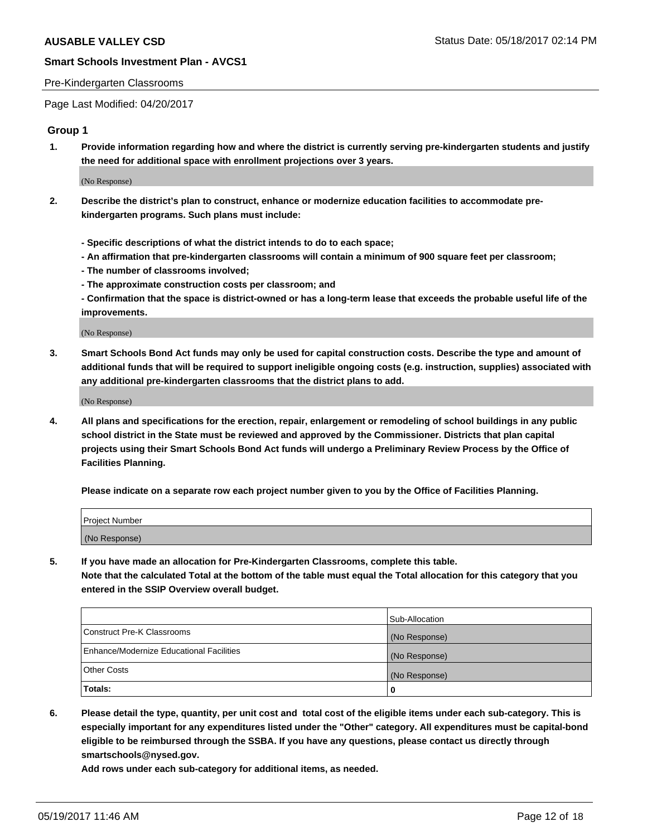#### Pre-Kindergarten Classrooms

Page Last Modified: 04/20/2017

## **Group 1**

**1. Provide information regarding how and where the district is currently serving pre-kindergarten students and justify the need for additional space with enrollment projections over 3 years.**

(No Response)

- **2. Describe the district's plan to construct, enhance or modernize education facilities to accommodate prekindergarten programs. Such plans must include:**
	- **Specific descriptions of what the district intends to do to each space;**
	- **An affirmation that pre-kindergarten classrooms will contain a minimum of 900 square feet per classroom;**
	- **The number of classrooms involved;**
	- **The approximate construction costs per classroom; and**
	- **Confirmation that the space is district-owned or has a long-term lease that exceeds the probable useful life of the improvements.**

(No Response)

**3. Smart Schools Bond Act funds may only be used for capital construction costs. Describe the type and amount of additional funds that will be required to support ineligible ongoing costs (e.g. instruction, supplies) associated with any additional pre-kindergarten classrooms that the district plans to add.**

(No Response)

**4. All plans and specifications for the erection, repair, enlargement or remodeling of school buildings in any public school district in the State must be reviewed and approved by the Commissioner. Districts that plan capital projects using their Smart Schools Bond Act funds will undergo a Preliminary Review Process by the Office of Facilities Planning.**

**Please indicate on a separate row each project number given to you by the Office of Facilities Planning.**

| Project Number |  |
|----------------|--|
| (No Response)  |  |

**5. If you have made an allocation for Pre-Kindergarten Classrooms, complete this table. Note that the calculated Total at the bottom of the table must equal the Total allocation for this category that you entered in the SSIP Overview overall budget.**

| Totals:                                  | 0              |
|------------------------------------------|----------------|
| Other Costs                              | (No Response)  |
| Enhance/Modernize Educational Facilities | (No Response)  |
| Construct Pre-K Classrooms               | (No Response)  |
|                                          | Sub-Allocation |

**6. Please detail the type, quantity, per unit cost and total cost of the eligible items under each sub-category. This is especially important for any expenditures listed under the "Other" category. All expenditures must be capital-bond eligible to be reimbursed through the SSBA. If you have any questions, please contact us directly through smartschools@nysed.gov.**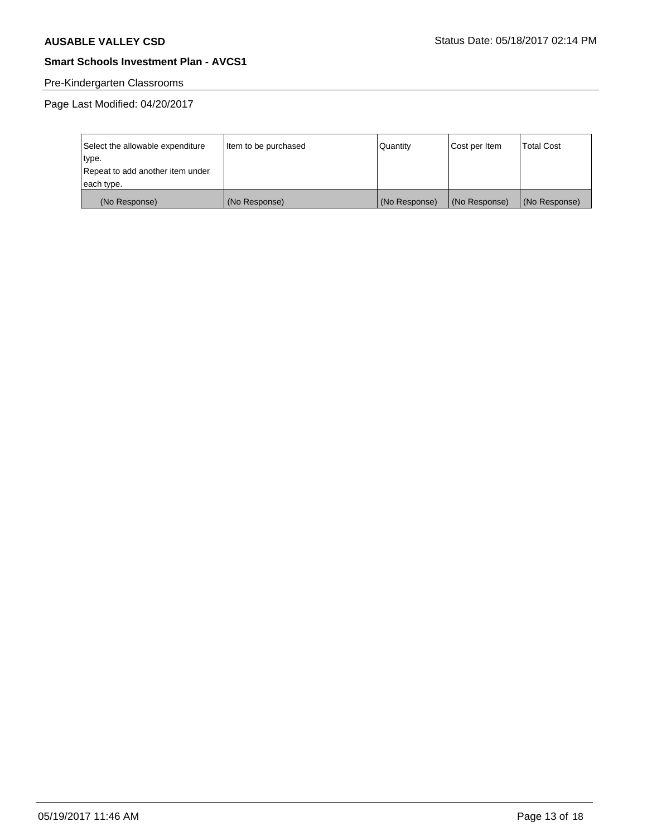# Pre-Kindergarten Classrooms

Page Last Modified: 04/20/2017

| Select the allowable expenditure | Item to be purchased | Quantity      | Cost per Item | <b>Total Cost</b> |
|----------------------------------|----------------------|---------------|---------------|-------------------|
| type.                            |                      |               |               |                   |
| Repeat to add another item under |                      |               |               |                   |
| each type.                       |                      |               |               |                   |
| (No Response)                    | (No Response)        | (No Response) | (No Response) | (No Response)     |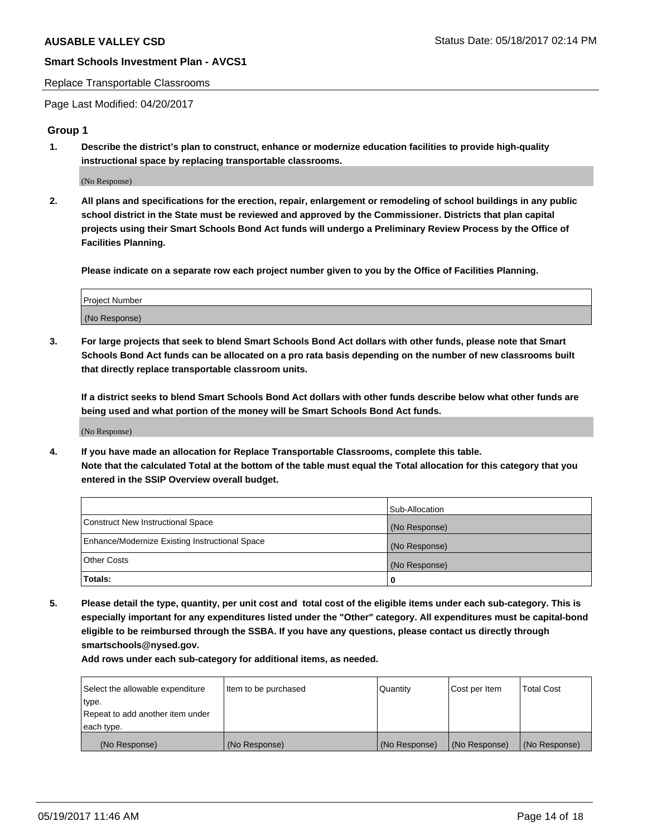#### Replace Transportable Classrooms

Page Last Modified: 04/20/2017

## **Group 1**

**1. Describe the district's plan to construct, enhance or modernize education facilities to provide high-quality instructional space by replacing transportable classrooms.**

(No Response)

**2. All plans and specifications for the erection, repair, enlargement or remodeling of school buildings in any public school district in the State must be reviewed and approved by the Commissioner. Districts that plan capital projects using their Smart Schools Bond Act funds will undergo a Preliminary Review Process by the Office of Facilities Planning.**

**Please indicate on a separate row each project number given to you by the Office of Facilities Planning.**

| Project Number |  |
|----------------|--|
| (No Response)  |  |

**3. For large projects that seek to blend Smart Schools Bond Act dollars with other funds, please note that Smart Schools Bond Act funds can be allocated on a pro rata basis depending on the number of new classrooms built that directly replace transportable classroom units.**

**If a district seeks to blend Smart Schools Bond Act dollars with other funds describe below what other funds are being used and what portion of the money will be Smart Schools Bond Act funds.**

(No Response)

**4. If you have made an allocation for Replace Transportable Classrooms, complete this table. Note that the calculated Total at the bottom of the table must equal the Total allocation for this category that you entered in the SSIP Overview overall budget.**

|                                                | Sub-Allocation |
|------------------------------------------------|----------------|
| Construct New Instructional Space              | (No Response)  |
| Enhance/Modernize Existing Instructional Space | (No Response)  |
| Other Costs                                    | (No Response)  |
| Totals:                                        | $\Omega$       |

**5. Please detail the type, quantity, per unit cost and total cost of the eligible items under each sub-category. This is especially important for any expenditures listed under the "Other" category. All expenditures must be capital-bond eligible to be reimbursed through the SSBA. If you have any questions, please contact us directly through smartschools@nysed.gov.**

| Select the allowable expenditure | Item to be purchased | Quantity      | Cost per Item | <b>Total Cost</b> |
|----------------------------------|----------------------|---------------|---------------|-------------------|
| type.                            |                      |               |               |                   |
| Repeat to add another item under |                      |               |               |                   |
| each type.                       |                      |               |               |                   |
| (No Response)                    | (No Response)        | (No Response) | (No Response) | (No Response)     |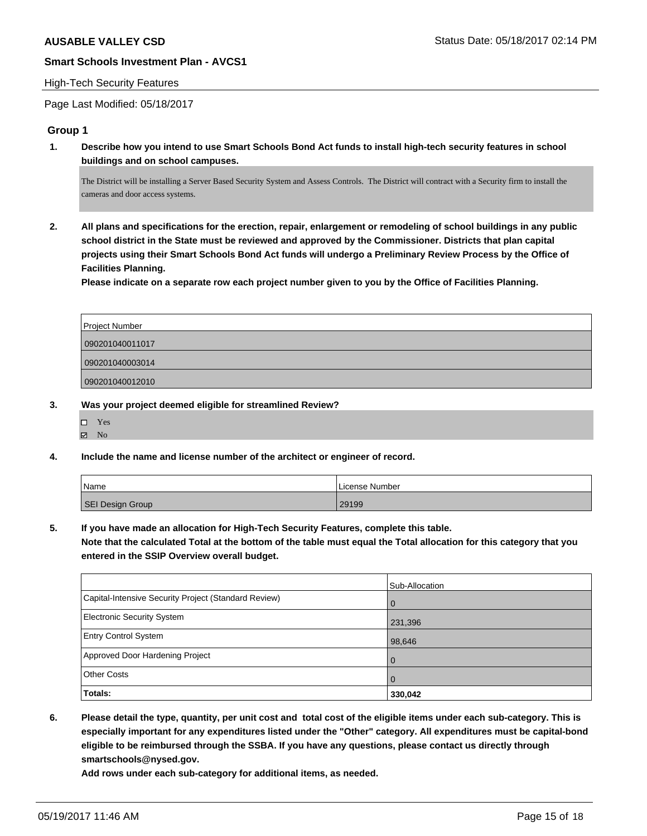#### High-Tech Security Features

Page Last Modified: 05/18/2017

#### **Group 1**

**1. Describe how you intend to use Smart Schools Bond Act funds to install high-tech security features in school buildings and on school campuses.**

The District will be installing a Server Based Security System and Assess Controls. The District will contract with a Security firm to install the cameras and door access systems.

**2. All plans and specifications for the erection, repair, enlargement or remodeling of school buildings in any public school district in the State must be reviewed and approved by the Commissioner. Districts that plan capital projects using their Smart Schools Bond Act funds will undergo a Preliminary Review Process by the Office of Facilities Planning.** 

**Please indicate on a separate row each project number given to you by the Office of Facilities Planning.**

| Project Number  |  |
|-----------------|--|
| 090201040011017 |  |
| 090201040003014 |  |
| 090201040012010 |  |

- **3. Was your project deemed eligible for streamlined Review?**
	- Yes
	- $\boxtimes$  No
- **4. Include the name and license number of the architect or engineer of record.**

| Name             | l License Number |
|------------------|------------------|
| SEI Design Group | 29199            |

**5. If you have made an allocation for High-Tech Security Features, complete this table.**

**Note that the calculated Total at the bottom of the table must equal the Total allocation for this category that you entered in the SSIP Overview overall budget.**

|                                                      | Sub-Allocation |
|------------------------------------------------------|----------------|
| Capital-Intensive Security Project (Standard Review) | l 0            |
| <b>Electronic Security System</b>                    | 231,396        |
| <b>Entry Control System</b>                          | 98,646         |
| Approved Door Hardening Project                      | l O            |
| <b>Other Costs</b>                                   | $\overline{0}$ |
| Totals:                                              | 330,042        |

**6. Please detail the type, quantity, per unit cost and total cost of the eligible items under each sub-category. This is especially important for any expenditures listed under the "Other" category. All expenditures must be capital-bond eligible to be reimbursed through the SSBA. If you have any questions, please contact us directly through smartschools@nysed.gov.**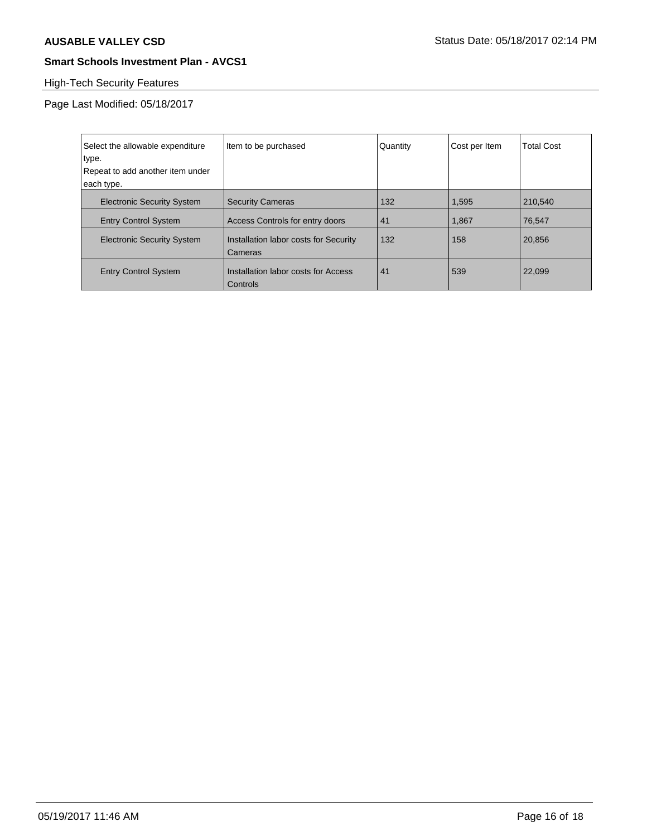# High-Tech Security Features

Page Last Modified: 05/18/2017

| Select the allowable expenditure<br>type.<br>Repeat to add another item under<br>each type. | Item to be purchased                             | Quantity | Cost per Item | Total Cost |
|---------------------------------------------------------------------------------------------|--------------------------------------------------|----------|---------------|------------|
|                                                                                             |                                                  |          |               |            |
| <b>Electronic Security System</b>                                                           | <b>Security Cameras</b>                          | 132      | 1,595         | 210.540    |
| <b>Entry Control System</b>                                                                 | Access Controls for entry doors                  | 41       | 1,867         | 76.547     |
| <b>Electronic Security System</b>                                                           | Installation labor costs for Security<br>Cameras | 132      | 158           | 20,856     |
| <b>Entry Control System</b>                                                                 | Installation labor costs for Access<br>Controls  | 41       | 539           | 22,099     |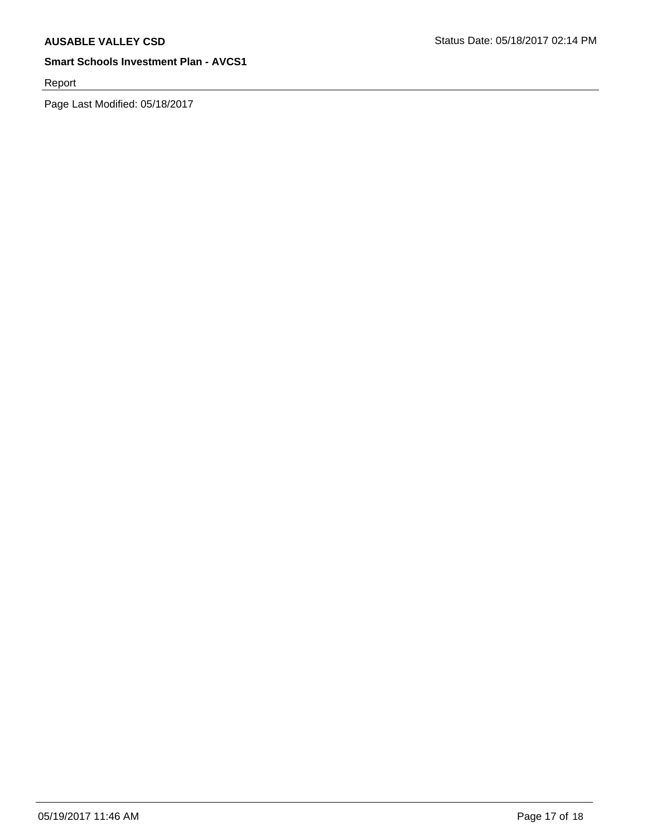Report

Page Last Modified: 05/18/2017